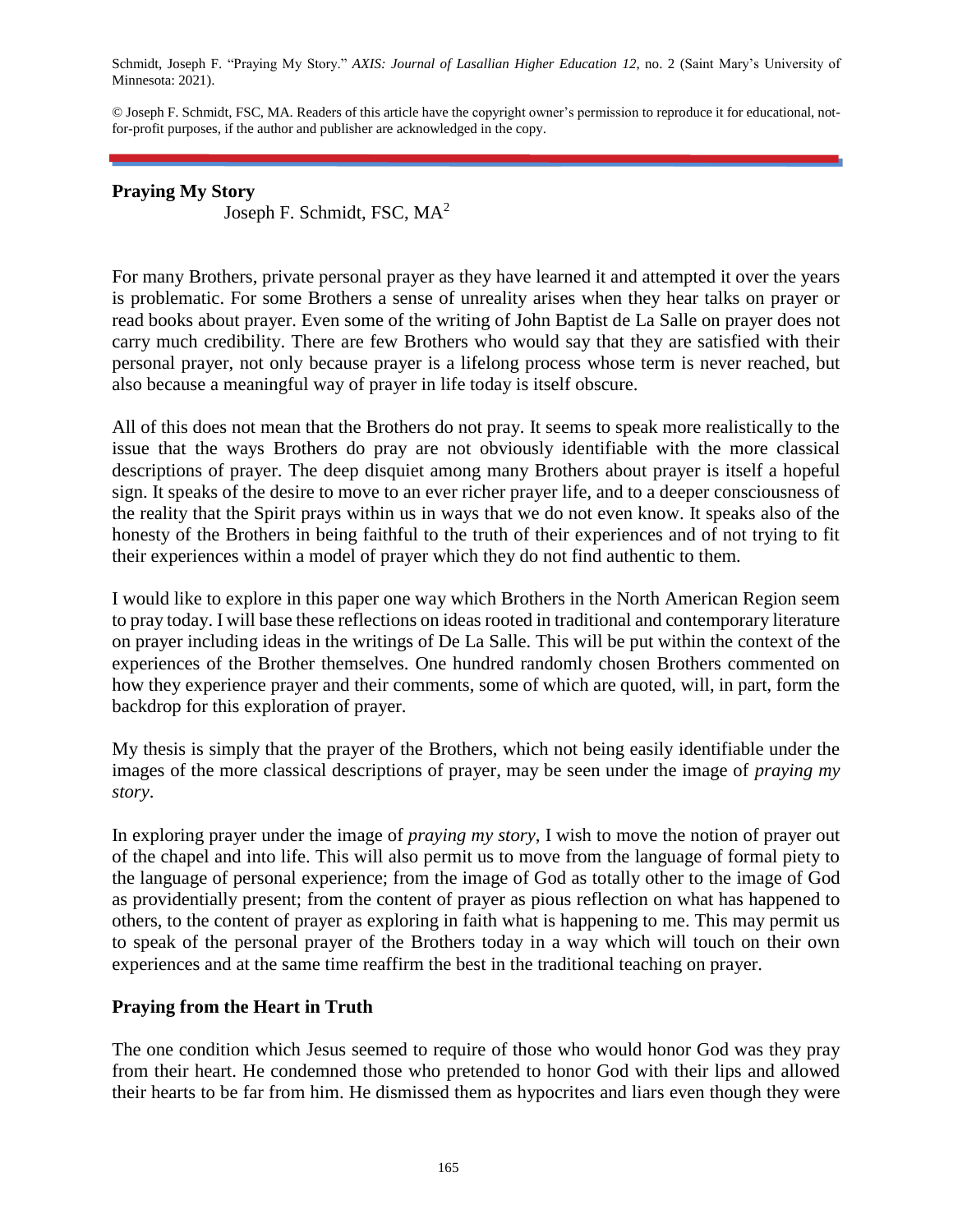Schmidt, Joseph F. "Praying My Story." *AXIS: Journal of Lasallian Higher Education 12*, no. 2 (Saint Mary's University of Minnesota: 2021).

© Joseph F. Schmidt, FSC, MA. Readers of this article have the copyright owner's permission to reproduce it for educational, notfor-profit purposes, if the author and publisher are acknowledged in the copy.

### **Praying My Story**

Joseph F. Schmidt, FSC, MA<sup>2</sup>

For many Brothers, private personal prayer as they have learned it and attempted it over the years is problematic. For some Brothers a sense of unreality arises when they hear talks on prayer or read books about prayer. Even some of the writing of John Baptist de La Salle on prayer does not carry much credibility. There are few Brothers who would say that they are satisfied with their personal prayer, not only because prayer is a lifelong process whose term is never reached, but also because a meaningful way of prayer in life today is itself obscure.

All of this does not mean that the Brothers do not pray. It seems to speak more realistically to the issue that the ways Brothers do pray are not obviously identifiable with the more classical descriptions of prayer. The deep disquiet among many Brothers about prayer is itself a hopeful sign. It speaks of the desire to move to an ever richer prayer life, and to a deeper consciousness of the reality that the Spirit prays within us in ways that we do not even know. It speaks also of the honesty of the Brothers in being faithful to the truth of their experiences and of not trying to fit their experiences within a model of prayer which they do not find authentic to them.

I would like to explore in this paper one way which Brothers in the North American Region seem to pray today. I will base these reflections on ideas rooted in traditional and contemporary literature on prayer including ideas in the writings of De La Salle. This will be put within the context of the experiences of the Brother themselves. One hundred randomly chosen Brothers commented on how they experience prayer and their comments, some of which are quoted, will, in part, form the backdrop for this exploration of prayer.

My thesis is simply that the prayer of the Brothers, which not being easily identifiable under the images of the more classical descriptions of prayer, may be seen under the image of *praying my story*.

In exploring prayer under the image of *praying my story*, I wish to move the notion of prayer out of the chapel and into life. This will also permit us to move from the language of formal piety to the language of personal experience; from the image of God as totally other to the image of God as providentially present; from the content of prayer as pious reflection on what has happened to others, to the content of prayer as exploring in faith what is happening to me. This may permit us to speak of the personal prayer of the Brothers today in a way which will touch on their own experiences and at the same time reaffirm the best in the traditional teaching on prayer.

# **Praying from the Heart in Truth**

The one condition which Jesus seemed to require of those who would honor God was they pray from their heart. He condemned those who pretended to honor God with their lips and allowed their hearts to be far from him. He dismissed them as hypocrites and liars even though they were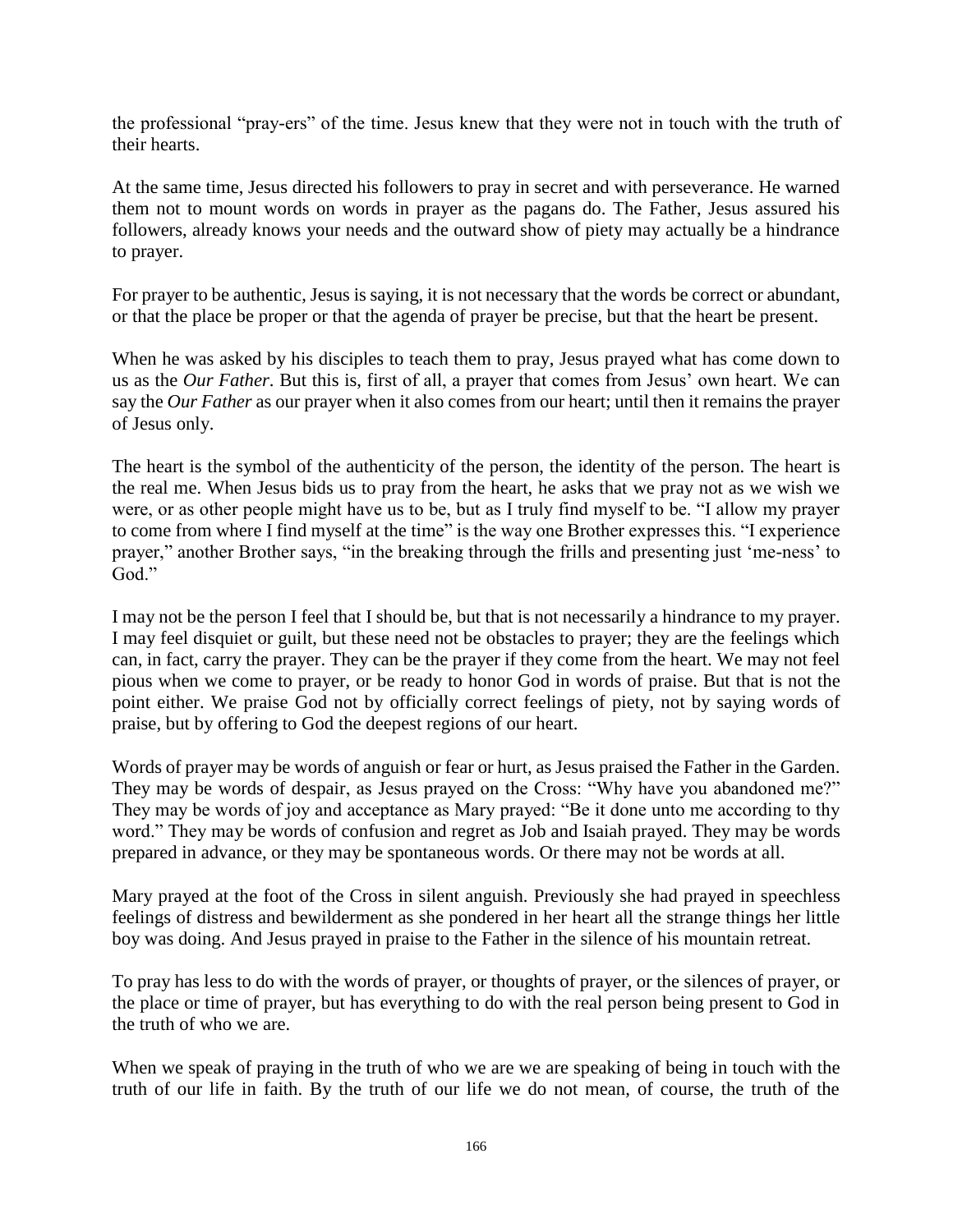the professional "pray-ers" of the time. Jesus knew that they were not in touch with the truth of their hearts.

At the same time, Jesus directed his followers to pray in secret and with perseverance. He warned them not to mount words on words in prayer as the pagans do. The Father, Jesus assured his followers, already knows your needs and the outward show of piety may actually be a hindrance to prayer.

For prayer to be authentic, Jesus is saying, it is not necessary that the words be correct or abundant, or that the place be proper or that the agenda of prayer be precise, but that the heart be present.

When he was asked by his disciples to teach them to pray, Jesus prayed what has come down to us as the *Our Father*. But this is, first of all, a prayer that comes from Jesus' own heart. We can say the *Our Father* as our prayer when it also comes from our heart; until then it remains the prayer of Jesus only.

The heart is the symbol of the authenticity of the person, the identity of the person. The heart is the real me. When Jesus bids us to pray from the heart, he asks that we pray not as we wish we were, or as other people might have us to be, but as I truly find myself to be. "I allow my prayer to come from where I find myself at the time" is the way one Brother expresses this. "I experience prayer," another Brother says, "in the breaking through the frills and presenting just 'me-ness' to God."

I may not be the person I feel that I should be, but that is not necessarily a hindrance to my prayer. I may feel disquiet or guilt, but these need not be obstacles to prayer; they are the feelings which can, in fact, carry the prayer. They can be the prayer if they come from the heart. We may not feel pious when we come to prayer, or be ready to honor God in words of praise. But that is not the point either. We praise God not by officially correct feelings of piety, not by saying words of praise, but by offering to God the deepest regions of our heart.

Words of prayer may be words of anguish or fear or hurt, as Jesus praised the Father in the Garden. They may be words of despair, as Jesus prayed on the Cross: "Why have you abandoned me?" They may be words of joy and acceptance as Mary prayed: "Be it done unto me according to thy word." They may be words of confusion and regret as Job and Isaiah prayed. They may be words prepared in advance, or they may be spontaneous words. Or there may not be words at all.

Mary prayed at the foot of the Cross in silent anguish. Previously she had prayed in speechless feelings of distress and bewilderment as she pondered in her heart all the strange things her little boy was doing. And Jesus prayed in praise to the Father in the silence of his mountain retreat.

To pray has less to do with the words of prayer, or thoughts of prayer, or the silences of prayer, or the place or time of prayer, but has everything to do with the real person being present to God in the truth of who we are.

When we speak of praying in the truth of who we are we are speaking of being in touch with the truth of our life in faith. By the truth of our life we do not mean, of course, the truth of the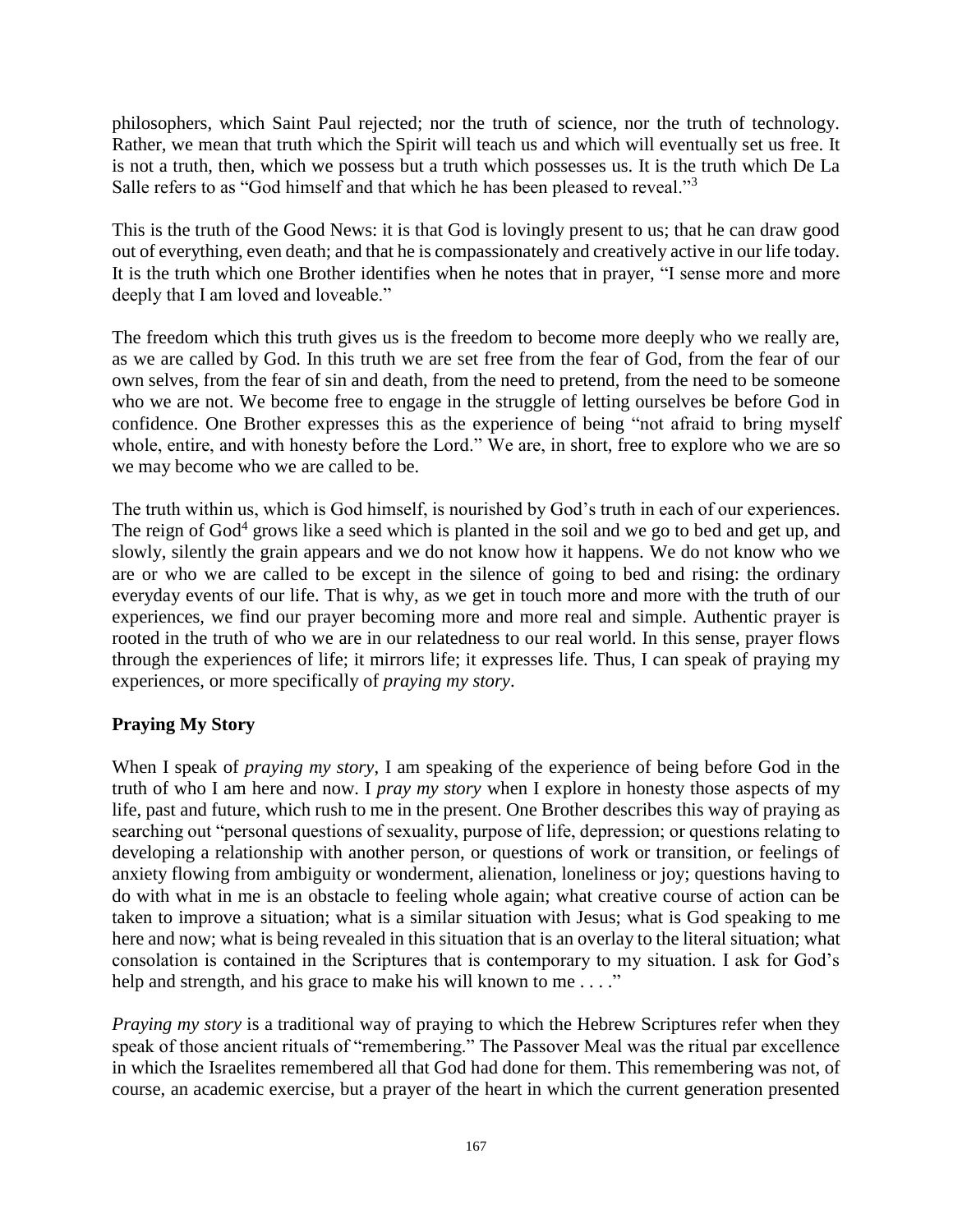philosophers, which Saint Paul rejected; nor the truth of science, nor the truth of technology. Rather, we mean that truth which the Spirit will teach us and which will eventually set us free. It is not a truth, then, which we possess but a truth which possesses us. It is the truth which De La Salle refers to as "God himself and that which he has been pleased to reveal."<sup>3</sup>

This is the truth of the Good News: it is that God is lovingly present to us; that he can draw good out of everything, even death; and that he is compassionately and creatively active in our life today. It is the truth which one Brother identifies when he notes that in prayer, "I sense more and more deeply that I am loved and loveable."

The freedom which this truth gives us is the freedom to become more deeply who we really are, as we are called by God. In this truth we are set free from the fear of God, from the fear of our own selves, from the fear of sin and death, from the need to pretend, from the need to be someone who we are not. We become free to engage in the struggle of letting ourselves be before God in confidence. One Brother expresses this as the experience of being "not afraid to bring myself whole, entire, and with honesty before the Lord." We are, in short, free to explore who we are so we may become who we are called to be.

The truth within us, which is God himself, is nourished by God's truth in each of our experiences. The reign of God<sup>4</sup> grows like a seed which is planted in the soil and we go to bed and get up, and slowly, silently the grain appears and we do not know how it happens. We do not know who we are or who we are called to be except in the silence of going to bed and rising: the ordinary everyday events of our life. That is why, as we get in touch more and more with the truth of our experiences, we find our prayer becoming more and more real and simple. Authentic prayer is rooted in the truth of who we are in our relatedness to our real world. In this sense, prayer flows through the experiences of life; it mirrors life; it expresses life. Thus, I can speak of praying my experiences, or more specifically of *praying my story*.

# **Praying My Story**

When I speak of *praying my story*, I am speaking of the experience of being before God in the truth of who I am here and now. I *pray my story* when I explore in honesty those aspects of my life, past and future, which rush to me in the present. One Brother describes this way of praying as searching out "personal questions of sexuality, purpose of life, depression; or questions relating to developing a relationship with another person, or questions of work or transition, or feelings of anxiety flowing from ambiguity or wonderment, alienation, loneliness or joy; questions having to do with what in me is an obstacle to feeling whole again; what creative course of action can be taken to improve a situation; what is a similar situation with Jesus; what is God speaking to me here and now; what is being revealed in this situation that is an overlay to the literal situation; what consolation is contained in the Scriptures that is contemporary to my situation. I ask for God's help and strength, and his grace to make his will known to me . . . ."

*Praying my story* is a traditional way of praying to which the Hebrew Scriptures refer when they speak of those ancient rituals of "remembering." The Passover Meal was the ritual par excellence in which the Israelites remembered all that God had done for them. This remembering was not, of course, an academic exercise, but a prayer of the heart in which the current generation presented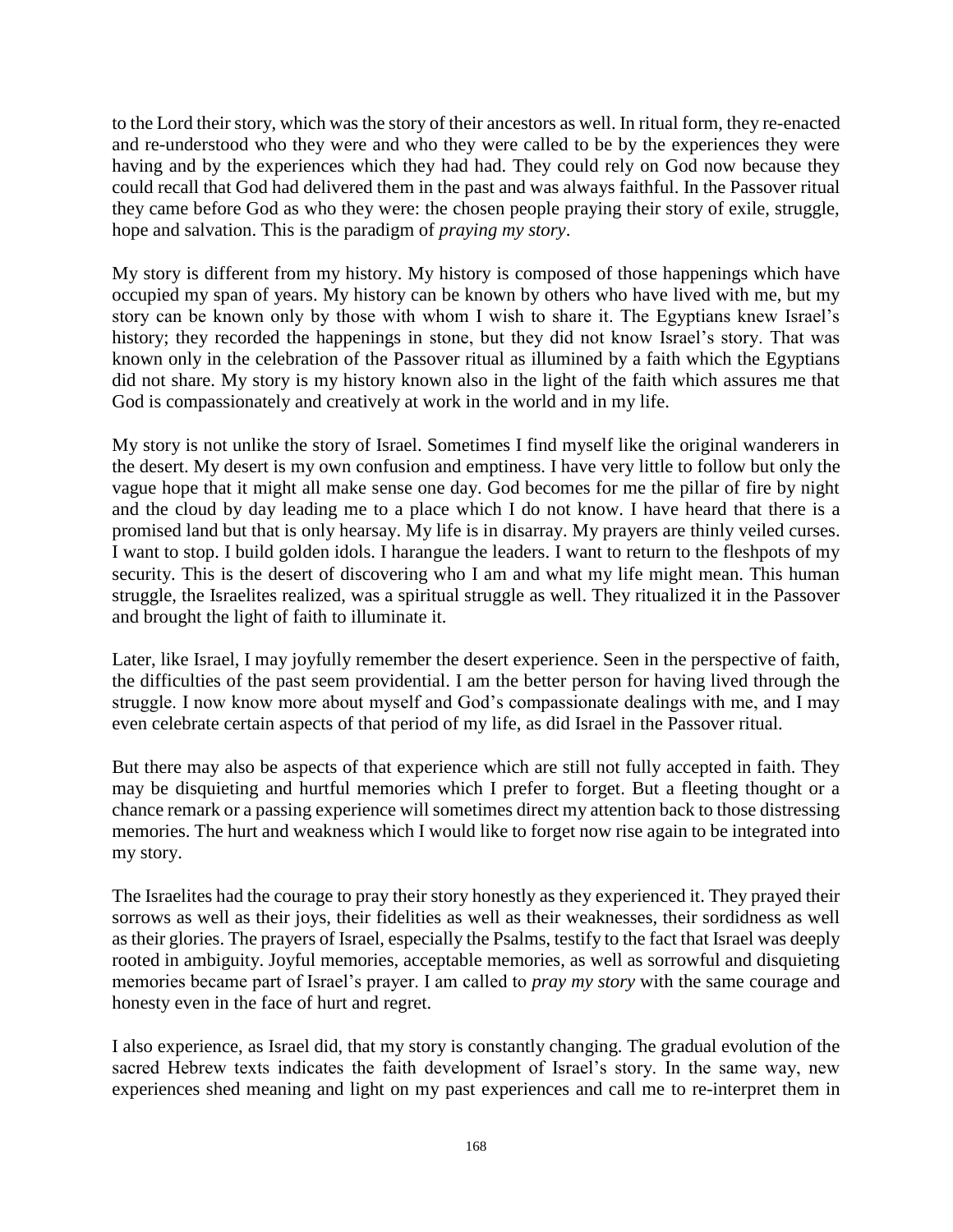to the Lord their story, which was the story of their ancestors as well. In ritual form, they re-enacted and re-understood who they were and who they were called to be by the experiences they were having and by the experiences which they had had. They could rely on God now because they could recall that God had delivered them in the past and was always faithful. In the Passover ritual they came before God as who they were: the chosen people praying their story of exile, struggle, hope and salvation. This is the paradigm of *praying my story*.

My story is different from my history. My history is composed of those happenings which have occupied my span of years. My history can be known by others who have lived with me, but my story can be known only by those with whom I wish to share it. The Egyptians knew Israel's history; they recorded the happenings in stone, but they did not know Israel's story. That was known only in the celebration of the Passover ritual as illumined by a faith which the Egyptians did not share. My story is my history known also in the light of the faith which assures me that God is compassionately and creatively at work in the world and in my life.

My story is not unlike the story of Israel. Sometimes I find myself like the original wanderers in the desert. My desert is my own confusion and emptiness. I have very little to follow but only the vague hope that it might all make sense one day. God becomes for me the pillar of fire by night and the cloud by day leading me to a place which I do not know. I have heard that there is a promised land but that is only hearsay. My life is in disarray. My prayers are thinly veiled curses. I want to stop. I build golden idols. I harangue the leaders. I want to return to the fleshpots of my security. This is the desert of discovering who I am and what my life might mean. This human struggle, the Israelites realized, was a spiritual struggle as well. They ritualized it in the Passover and brought the light of faith to illuminate it.

Later, like Israel, I may joyfully remember the desert experience. Seen in the perspective of faith, the difficulties of the past seem providential. I am the better person for having lived through the struggle. I now know more about myself and God's compassionate dealings with me, and I may even celebrate certain aspects of that period of my life, as did Israel in the Passover ritual.

But there may also be aspects of that experience which are still not fully accepted in faith. They may be disquieting and hurtful memories which I prefer to forget. But a fleeting thought or a chance remark or a passing experience will sometimes direct my attention back to those distressing memories. The hurt and weakness which I would like to forget now rise again to be integrated into my story.

The Israelites had the courage to pray their story honestly as they experienced it. They prayed their sorrows as well as their joys, their fidelities as well as their weaknesses, their sordidness as well as their glories. The prayers of Israel, especially the Psalms, testify to the fact that Israel was deeply rooted in ambiguity. Joyful memories, acceptable memories, as well as sorrowful and disquieting memories became part of Israel's prayer. I am called to *pray my story* with the same courage and honesty even in the face of hurt and regret.

I also experience, as Israel did, that my story is constantly changing. The gradual evolution of the sacred Hebrew texts indicates the faith development of Israel's story. In the same way, new experiences shed meaning and light on my past experiences and call me to re-interpret them in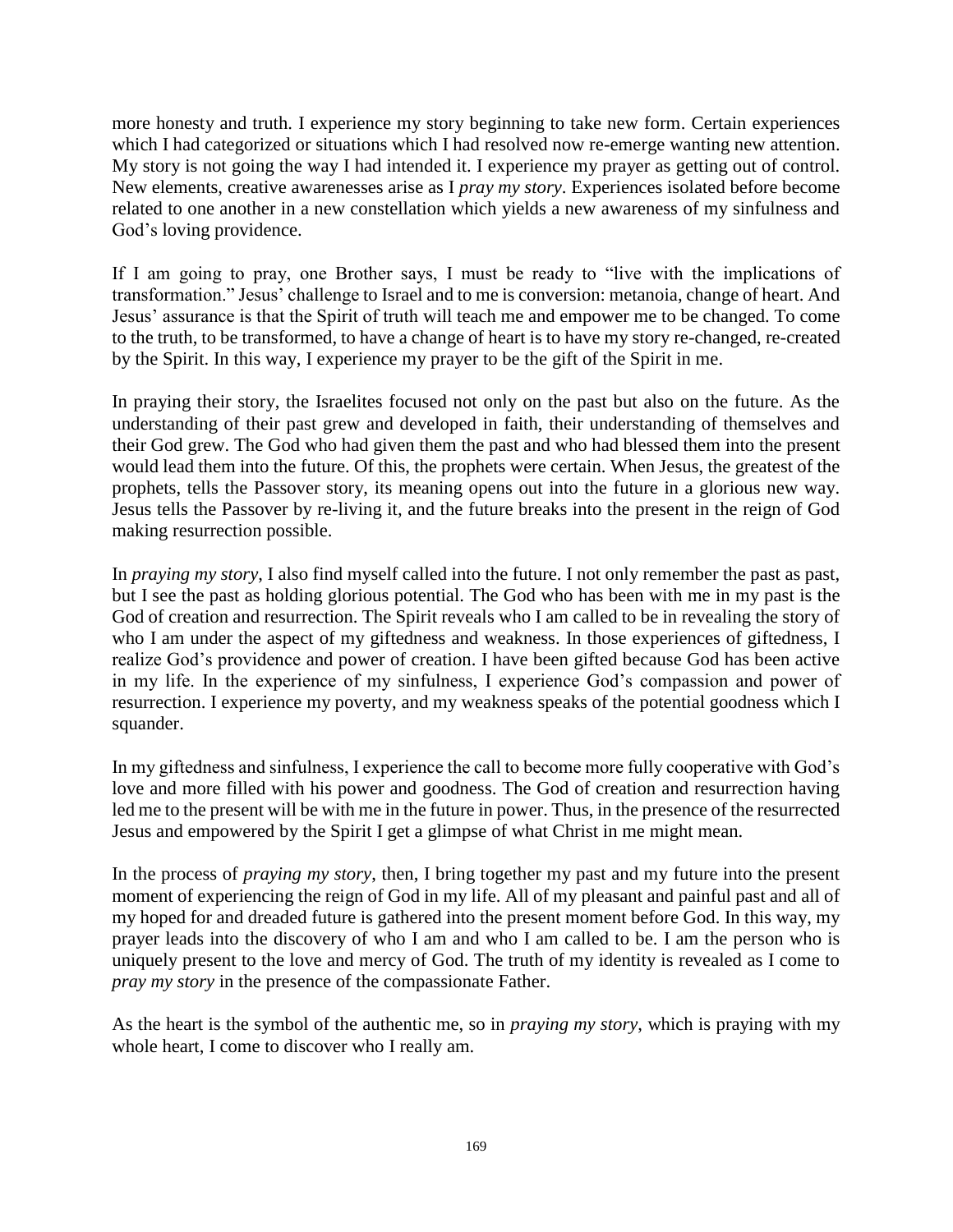more honesty and truth. I experience my story beginning to take new form. Certain experiences which I had categorized or situations which I had resolved now re-emerge wanting new attention. My story is not going the way I had intended it. I experience my prayer as getting out of control. New elements, creative awarenesses arise as I *pray my story*. Experiences isolated before become related to one another in a new constellation which yields a new awareness of my sinfulness and God's loving providence.

If I am going to pray, one Brother says, I must be ready to "live with the implications of transformation." Jesus' challenge to Israel and to me is conversion: metanoia, change of heart. And Jesus' assurance is that the Spirit of truth will teach me and empower me to be changed. To come to the truth, to be transformed, to have a change of heart is to have my story re-changed, re-created by the Spirit. In this way, I experience my prayer to be the gift of the Spirit in me.

In praying their story, the Israelites focused not only on the past but also on the future. As the understanding of their past grew and developed in faith, their understanding of themselves and their God grew. The God who had given them the past and who had blessed them into the present would lead them into the future. Of this, the prophets were certain. When Jesus, the greatest of the prophets, tells the Passover story, its meaning opens out into the future in a glorious new way. Jesus tells the Passover by re-living it, and the future breaks into the present in the reign of God making resurrection possible.

In *praying my story*, I also find myself called into the future. I not only remember the past as past, but I see the past as holding glorious potential. The God who has been with me in my past is the God of creation and resurrection. The Spirit reveals who I am called to be in revealing the story of who I am under the aspect of my giftedness and weakness. In those experiences of giftedness, I realize God's providence and power of creation. I have been gifted because God has been active in my life. In the experience of my sinfulness, I experience God's compassion and power of resurrection. I experience my poverty, and my weakness speaks of the potential goodness which I squander.

In my giftedness and sinfulness, I experience the call to become more fully cooperative with God's love and more filled with his power and goodness. The God of creation and resurrection having led me to the present will be with me in the future in power. Thus, in the presence of the resurrected Jesus and empowered by the Spirit I get a glimpse of what Christ in me might mean.

In the process of *praying my story*, then, I bring together my past and my future into the present moment of experiencing the reign of God in my life. All of my pleasant and painful past and all of my hoped for and dreaded future is gathered into the present moment before God. In this way, my prayer leads into the discovery of who I am and who I am called to be. I am the person who is uniquely present to the love and mercy of God. The truth of my identity is revealed as I come to *pray my story* in the presence of the compassionate Father.

As the heart is the symbol of the authentic me, so in *praying my story*, which is praying with my whole heart, I come to discover who I really am.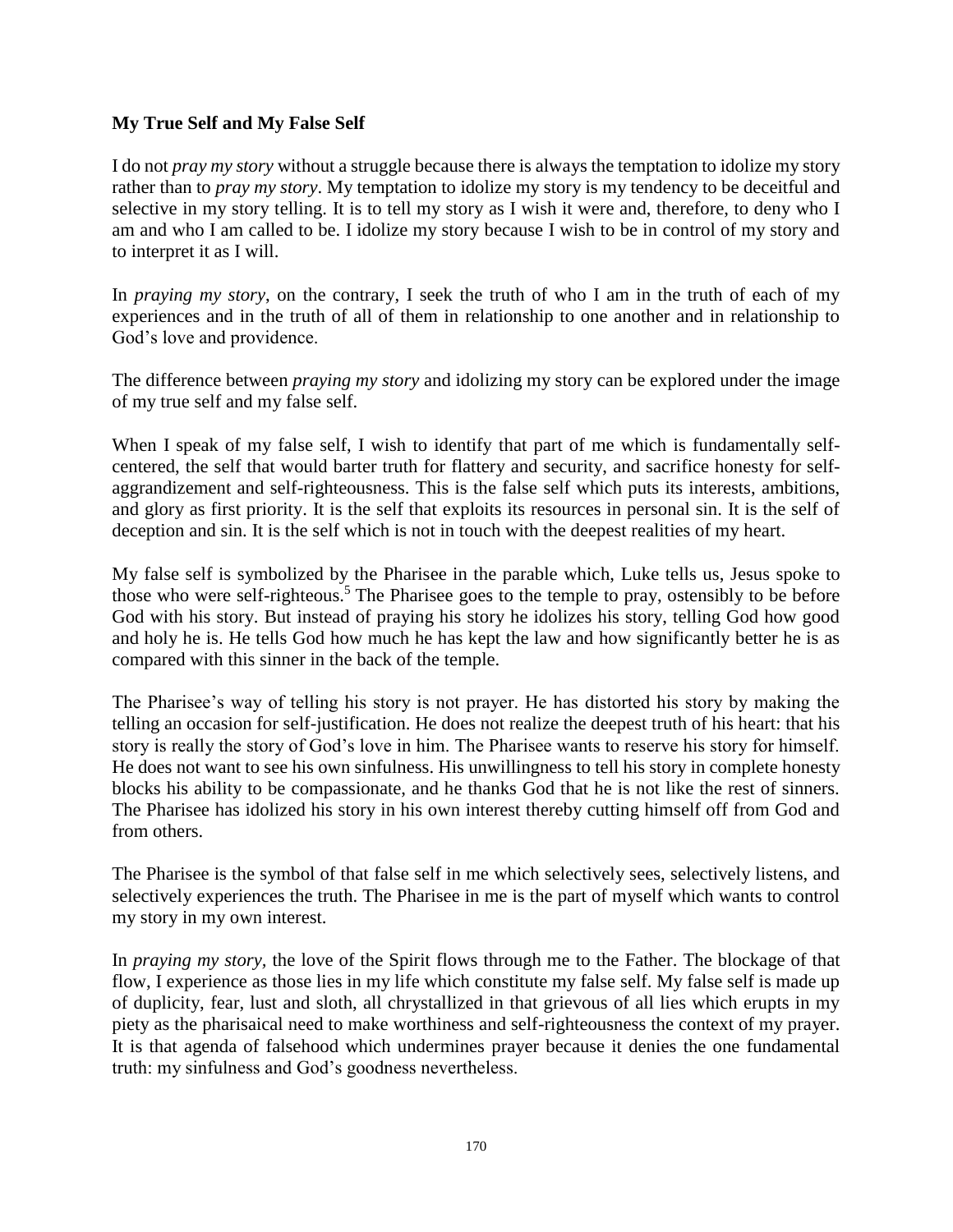### **My True Self and My False Self**

I do not *pray my story* without a struggle because there is always the temptation to idolize my story rather than to *pray my story*. My temptation to idolize my story is my tendency to be deceitful and selective in my story telling. It is to tell my story as I wish it were and, therefore, to deny who I am and who I am called to be. I idolize my story because I wish to be in control of my story and to interpret it as I will.

In *praying my story*, on the contrary, I seek the truth of who I am in the truth of each of my experiences and in the truth of all of them in relationship to one another and in relationship to God's love and providence.

The difference between *praying my story* and idolizing my story can be explored under the image of my true self and my false self.

When I speak of my false self, I wish to identify that part of me which is fundamentally selfcentered, the self that would barter truth for flattery and security, and sacrifice honesty for selfaggrandizement and self-righteousness. This is the false self which puts its interests, ambitions, and glory as first priority. It is the self that exploits its resources in personal sin. It is the self of deception and sin. It is the self which is not in touch with the deepest realities of my heart.

My false self is symbolized by the Pharisee in the parable which, Luke tells us, Jesus spoke to those who were self-righteous.<sup>5</sup> The Pharisee goes to the temple to pray, ostensibly to be before God with his story. But instead of praying his story he idolizes his story, telling God how good and holy he is. He tells God how much he has kept the law and how significantly better he is as compared with this sinner in the back of the temple.

The Pharisee's way of telling his story is not prayer. He has distorted his story by making the telling an occasion for self-justification. He does not realize the deepest truth of his heart: that his story is really the story of God's love in him. The Pharisee wants to reserve his story for himself. He does not want to see his own sinfulness. His unwillingness to tell his story in complete honesty blocks his ability to be compassionate, and he thanks God that he is not like the rest of sinners. The Pharisee has idolized his story in his own interest thereby cutting himself off from God and from others.

The Pharisee is the symbol of that false self in me which selectively sees, selectively listens, and selectively experiences the truth. The Pharisee in me is the part of myself which wants to control my story in my own interest.

In *praying my story,* the love of the Spirit flows through me to the Father. The blockage of that flow, I experience as those lies in my life which constitute my false self. My false self is made up of duplicity, fear, lust and sloth, all chrystallized in that grievous of all lies which erupts in my piety as the pharisaical need to make worthiness and self-righteousness the context of my prayer. It is that agenda of falsehood which undermines prayer because it denies the one fundamental truth: my sinfulness and God's goodness nevertheless.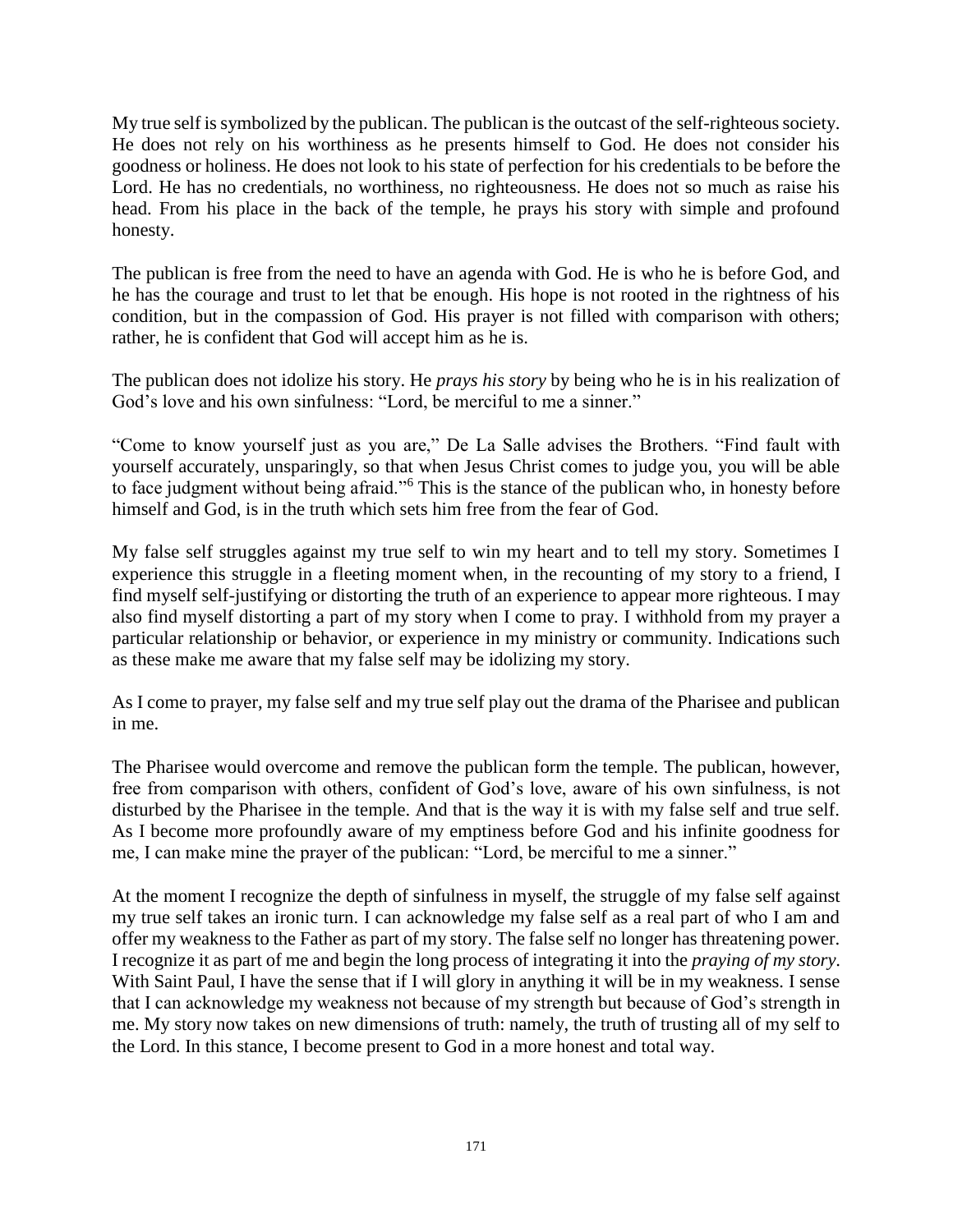My true self is symbolized by the publican. The publican is the outcast of the self-righteous society. He does not rely on his worthiness as he presents himself to God. He does not consider his goodness or holiness. He does not look to his state of perfection for his credentials to be before the Lord. He has no credentials, no worthiness, no righteousness. He does not so much as raise his head. From his place in the back of the temple, he prays his story with simple and profound honesty.

The publican is free from the need to have an agenda with God. He is who he is before God, and he has the courage and trust to let that be enough. His hope is not rooted in the rightness of his condition, but in the compassion of God. His prayer is not filled with comparison with others; rather, he is confident that God will accept him as he is.

The publican does not idolize his story. He *prays his story* by being who he is in his realization of God's love and his own sinfulness: "Lord, be merciful to me a sinner."

"Come to know yourself just as you are," De La Salle advises the Brothers. "Find fault with yourself accurately, unsparingly, so that when Jesus Christ comes to judge you, you will be able to face judgment without being afraid."<sup>6</sup> This is the stance of the publican who, in honesty before himself and God, is in the truth which sets him free from the fear of God.

My false self struggles against my true self to win my heart and to tell my story. Sometimes I experience this struggle in a fleeting moment when, in the recounting of my story to a friend, I find myself self-justifying or distorting the truth of an experience to appear more righteous. I may also find myself distorting a part of my story when I come to pray. I withhold from my prayer a particular relationship or behavior, or experience in my ministry or community. Indications such as these make me aware that my false self may be idolizing my story.

As I come to prayer, my false self and my true self play out the drama of the Pharisee and publican in me.

The Pharisee would overcome and remove the publican form the temple. The publican, however, free from comparison with others, confident of God's love, aware of his own sinfulness, is not disturbed by the Pharisee in the temple. And that is the way it is with my false self and true self. As I become more profoundly aware of my emptiness before God and his infinite goodness for me, I can make mine the prayer of the publican: "Lord, be merciful to me a sinner."

At the moment I recognize the depth of sinfulness in myself, the struggle of my false self against my true self takes an ironic turn. I can acknowledge my false self as a real part of who I am and offer my weakness to the Father as part of my story. The false self no longer has threatening power. I recognize it as part of me and begin the long process of integrating it into the *praying of my story*. With Saint Paul, I have the sense that if I will glory in anything it will be in my weakness. I sense that I can acknowledge my weakness not because of my strength but because of God's strength in me. My story now takes on new dimensions of truth: namely, the truth of trusting all of my self to the Lord. In this stance, I become present to God in a more honest and total way.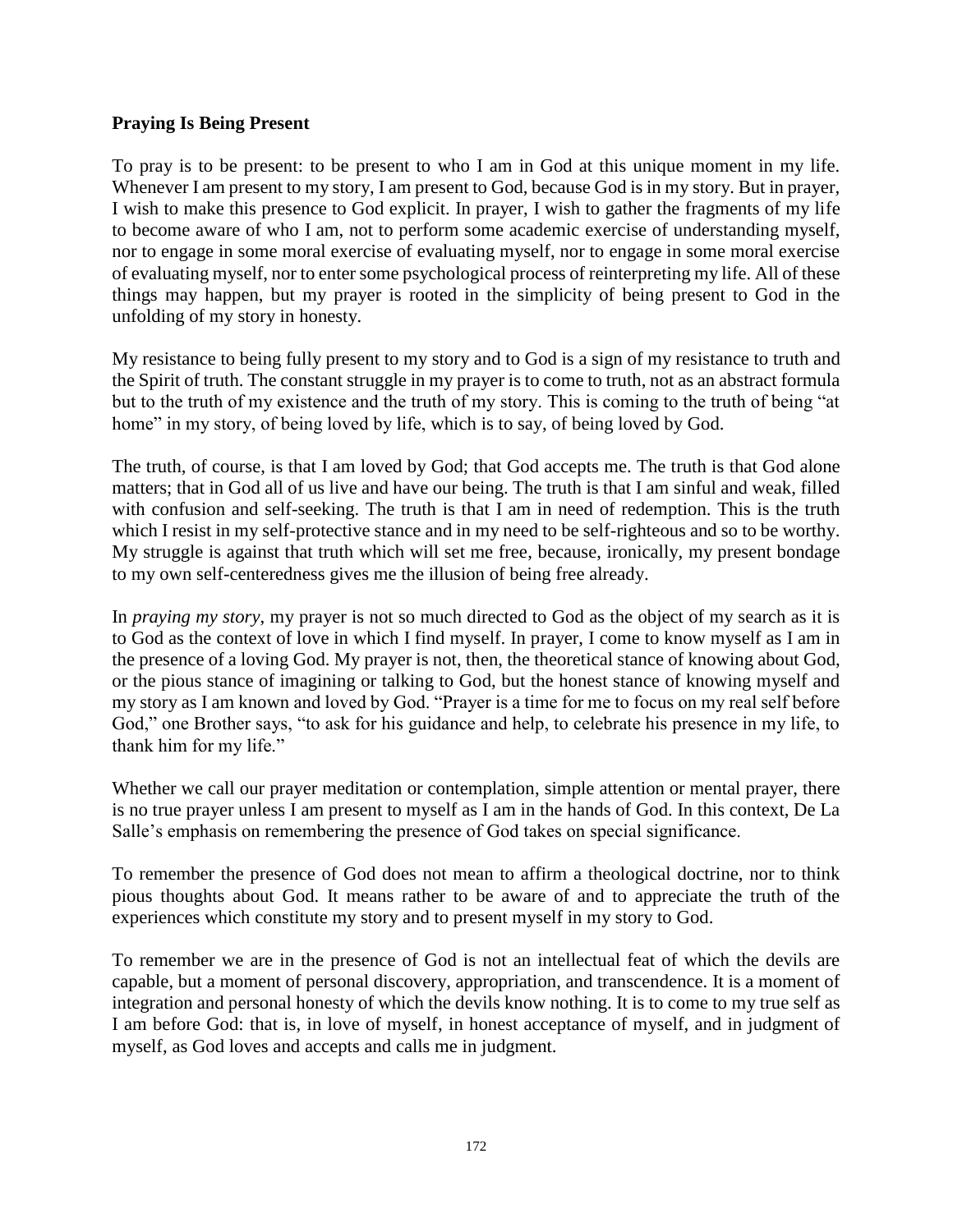### **Praying Is Being Present**

To pray is to be present: to be present to who I am in God at this unique moment in my life. Whenever I am present to my story, I am present to God, because God is in my story. But in prayer, I wish to make this presence to God explicit. In prayer, I wish to gather the fragments of my life to become aware of who I am, not to perform some academic exercise of understanding myself, nor to engage in some moral exercise of evaluating myself, nor to engage in some moral exercise of evaluating myself, nor to enter some psychological process of reinterpreting my life. All of these things may happen, but my prayer is rooted in the simplicity of being present to God in the unfolding of my story in honesty.

My resistance to being fully present to my story and to God is a sign of my resistance to truth and the Spirit of truth. The constant struggle in my prayer is to come to truth, not as an abstract formula but to the truth of my existence and the truth of my story. This is coming to the truth of being "at home" in my story, of being loved by life, which is to say, of being loved by God.

The truth, of course, is that I am loved by God; that God accepts me. The truth is that God alone matters; that in God all of us live and have our being. The truth is that I am sinful and weak, filled with confusion and self-seeking. The truth is that I am in need of redemption. This is the truth which I resist in my self-protective stance and in my need to be self-righteous and so to be worthy. My struggle is against that truth which will set me free, because, ironically, my present bondage to my own self-centeredness gives me the illusion of being free already.

In *praying my story*, my prayer is not so much directed to God as the object of my search as it is to God as the context of love in which I find myself. In prayer, I come to know myself as I am in the presence of a loving God. My prayer is not, then, the theoretical stance of knowing about God, or the pious stance of imagining or talking to God, but the honest stance of knowing myself and my story as I am known and loved by God. "Prayer is a time for me to focus on my real self before God," one Brother says, "to ask for his guidance and help, to celebrate his presence in my life, to thank him for my life."

Whether we call our prayer meditation or contemplation, simple attention or mental prayer, there is no true prayer unless I am present to myself as I am in the hands of God. In this context, De La Salle's emphasis on remembering the presence of God takes on special significance.

To remember the presence of God does not mean to affirm a theological doctrine, nor to think pious thoughts about God. It means rather to be aware of and to appreciate the truth of the experiences which constitute my story and to present myself in my story to God.

To remember we are in the presence of God is not an intellectual feat of which the devils are capable, but a moment of personal discovery, appropriation, and transcendence. It is a moment of integration and personal honesty of which the devils know nothing. It is to come to my true self as I am before God: that is, in love of myself, in honest acceptance of myself, and in judgment of myself, as God loves and accepts and calls me in judgment.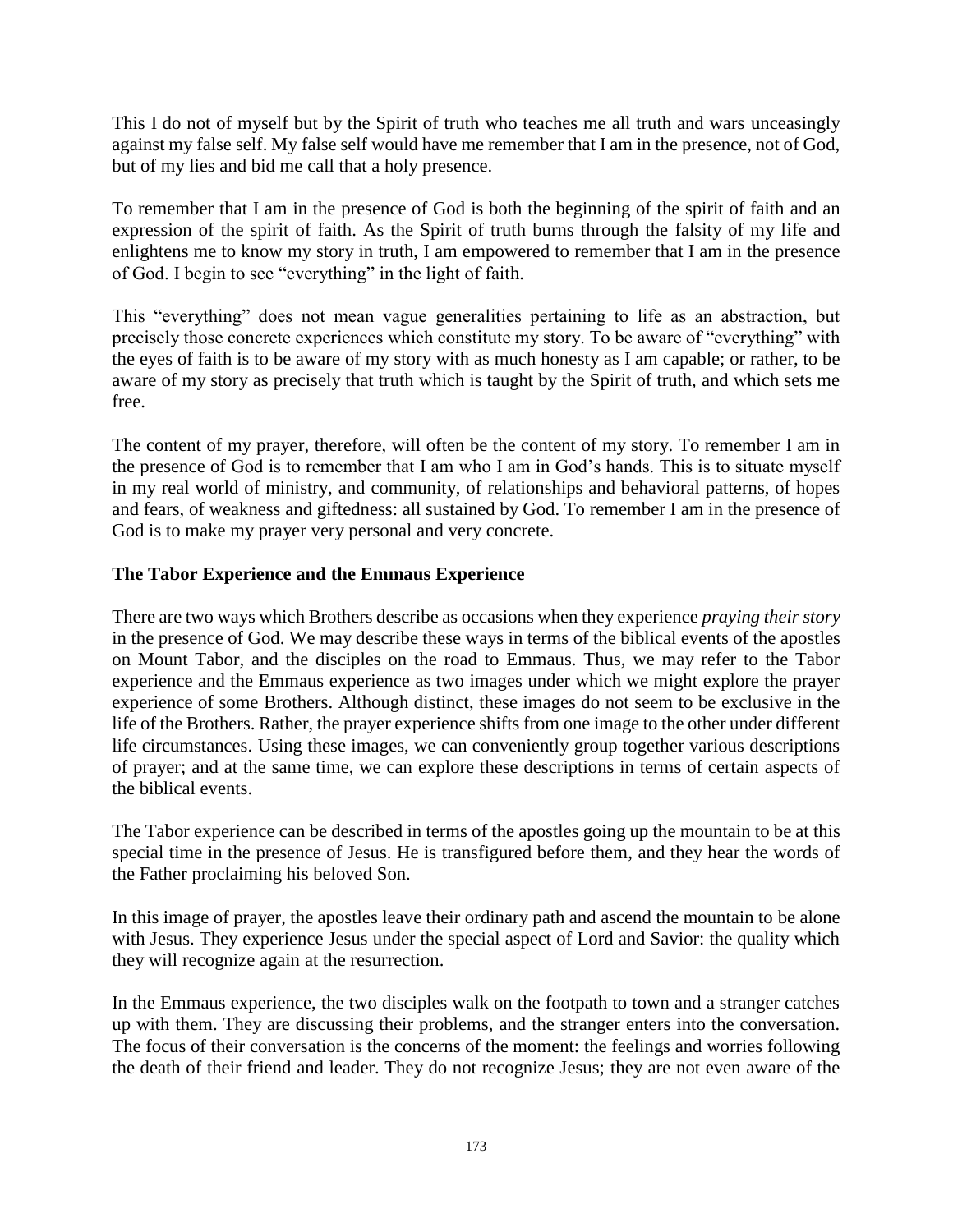This I do not of myself but by the Spirit of truth who teaches me all truth and wars unceasingly against my false self. My false self would have me remember that I am in the presence, not of God, but of my lies and bid me call that a holy presence.

To remember that I am in the presence of God is both the beginning of the spirit of faith and an expression of the spirit of faith. As the Spirit of truth burns through the falsity of my life and enlightens me to know my story in truth, I am empowered to remember that I am in the presence of God. I begin to see "everything" in the light of faith.

This "everything" does not mean vague generalities pertaining to life as an abstraction, but precisely those concrete experiences which constitute my story. To be aware of "everything" with the eyes of faith is to be aware of my story with as much honesty as I am capable; or rather, to be aware of my story as precisely that truth which is taught by the Spirit of truth, and which sets me free.

The content of my prayer, therefore, will often be the content of my story. To remember I am in the presence of God is to remember that I am who I am in God's hands. This is to situate myself in my real world of ministry, and community, of relationships and behavioral patterns, of hopes and fears, of weakness and giftedness: all sustained by God. To remember I am in the presence of God is to make my prayer very personal and very concrete.

# **The Tabor Experience and the Emmaus Experience**

There are two ways which Brothers describe as occasions when they experience *praying their story* in the presence of God. We may describe these ways in terms of the biblical events of the apostles on Mount Tabor, and the disciples on the road to Emmaus. Thus, we may refer to the Tabor experience and the Emmaus experience as two images under which we might explore the prayer experience of some Brothers. Although distinct, these images do not seem to be exclusive in the life of the Brothers. Rather, the prayer experience shifts from one image to the other under different life circumstances. Using these images, we can conveniently group together various descriptions of prayer; and at the same time, we can explore these descriptions in terms of certain aspects of the biblical events.

The Tabor experience can be described in terms of the apostles going up the mountain to be at this special time in the presence of Jesus. He is transfigured before them, and they hear the words of the Father proclaiming his beloved Son.

In this image of prayer, the apostles leave their ordinary path and ascend the mountain to be alone with Jesus. They experience Jesus under the special aspect of Lord and Savior: the quality which they will recognize again at the resurrection.

In the Emmaus experience, the two disciples walk on the footpath to town and a stranger catches up with them. They are discussing their problems, and the stranger enters into the conversation. The focus of their conversation is the concerns of the moment: the feelings and worries following the death of their friend and leader. They do not recognize Jesus; they are not even aware of the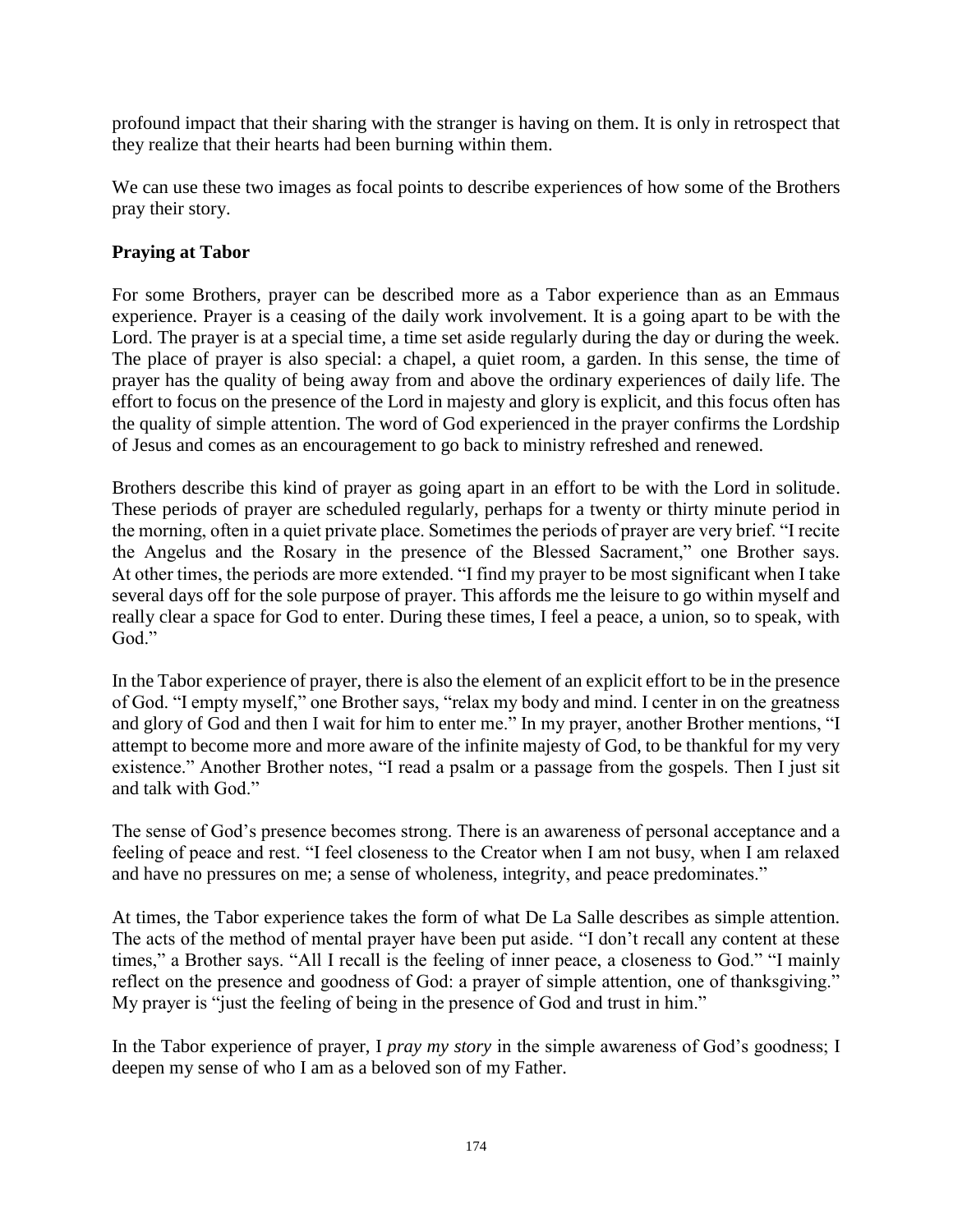profound impact that their sharing with the stranger is having on them. It is only in retrospect that they realize that their hearts had been burning within them.

We can use these two images as focal points to describe experiences of how some of the Brothers pray their story.

### **Praying at Tabor**

For some Brothers, prayer can be described more as a Tabor experience than as an Emmaus experience. Prayer is a ceasing of the daily work involvement. It is a going apart to be with the Lord. The prayer is at a special time, a time set aside regularly during the day or during the week. The place of prayer is also special: a chapel, a quiet room, a garden. In this sense, the time of prayer has the quality of being away from and above the ordinary experiences of daily life. The effort to focus on the presence of the Lord in majesty and glory is explicit, and this focus often has the quality of simple attention. The word of God experienced in the prayer confirms the Lordship of Jesus and comes as an encouragement to go back to ministry refreshed and renewed.

Brothers describe this kind of prayer as going apart in an effort to be with the Lord in solitude. These periods of prayer are scheduled regularly, perhaps for a twenty or thirty minute period in the morning, often in a quiet private place. Sometimes the periods of prayer are very brief. "I recite the Angelus and the Rosary in the presence of the Blessed Sacrament," one Brother says. At other times, the periods are more extended. "I find my prayer to be most significant when I take several days off for the sole purpose of prayer. This affords me the leisure to go within myself and really clear a space for God to enter. During these times, I feel a peace, a union, so to speak, with God."

In the Tabor experience of prayer, there is also the element of an explicit effort to be in the presence of God. "I empty myself," one Brother says, "relax my body and mind. I center in on the greatness and glory of God and then I wait for him to enter me." In my prayer, another Brother mentions, "I attempt to become more and more aware of the infinite majesty of God, to be thankful for my very existence." Another Brother notes, "I read a psalm or a passage from the gospels. Then I just sit and talk with God."

The sense of God's presence becomes strong. There is an awareness of personal acceptance and a feeling of peace and rest. "I feel closeness to the Creator when I am not busy, when I am relaxed and have no pressures on me; a sense of wholeness, integrity, and peace predominates."

At times, the Tabor experience takes the form of what De La Salle describes as simple attention. The acts of the method of mental prayer have been put aside. "I don't recall any content at these times," a Brother says. "All I recall is the feeling of inner peace, a closeness to God." "I mainly reflect on the presence and goodness of God: a prayer of simple attention, one of thanksgiving." My prayer is "just the feeling of being in the presence of God and trust in him."

In the Tabor experience of prayer, I *pray my story* in the simple awareness of God's goodness; I deepen my sense of who I am as a beloved son of my Father.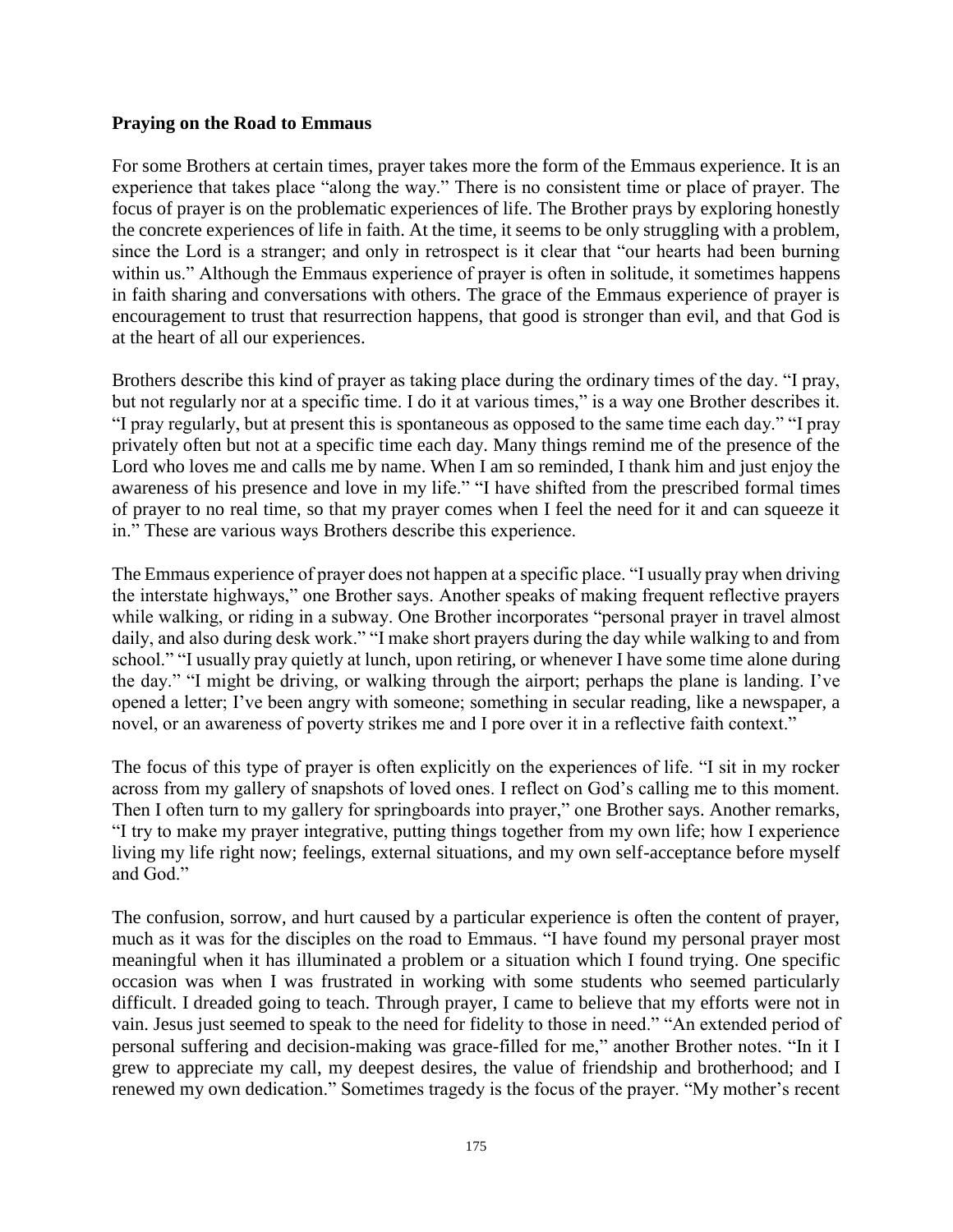#### **Praying on the Road to Emmaus**

For some Brothers at certain times, prayer takes more the form of the Emmaus experience. It is an experience that takes place "along the way." There is no consistent time or place of prayer. The focus of prayer is on the problematic experiences of life. The Brother prays by exploring honestly the concrete experiences of life in faith. At the time, it seems to be only struggling with a problem, since the Lord is a stranger; and only in retrospect is it clear that "our hearts had been burning within us." Although the Emmaus experience of prayer is often in solitude, it sometimes happens in faith sharing and conversations with others. The grace of the Emmaus experience of prayer is encouragement to trust that resurrection happens, that good is stronger than evil, and that God is at the heart of all our experiences.

Brothers describe this kind of prayer as taking place during the ordinary times of the day. "I pray, but not regularly nor at a specific time. I do it at various times," is a way one Brother describes it. "I pray regularly, but at present this is spontaneous as opposed to the same time each day." "I pray privately often but not at a specific time each day. Many things remind me of the presence of the Lord who loves me and calls me by name. When I am so reminded, I thank him and just enjoy the awareness of his presence and love in my life." "I have shifted from the prescribed formal times of prayer to no real time, so that my prayer comes when I feel the need for it and can squeeze it in." These are various ways Brothers describe this experience.

The Emmaus experience of prayer does not happen at a specific place. "I usually pray when driving the interstate highways," one Brother says. Another speaks of making frequent reflective prayers while walking, or riding in a subway. One Brother incorporates "personal prayer in travel almost daily, and also during desk work." "I make short prayers during the day while walking to and from school." "I usually pray quietly at lunch, upon retiring, or whenever I have some time alone during the day." "I might be driving, or walking through the airport; perhaps the plane is landing. I've opened a letter; I've been angry with someone; something in secular reading, like a newspaper, a novel, or an awareness of poverty strikes me and I pore over it in a reflective faith context."

The focus of this type of prayer is often explicitly on the experiences of life. "I sit in my rocker across from my gallery of snapshots of loved ones. I reflect on God's calling me to this moment. Then I often turn to my gallery for springboards into prayer," one Brother says. Another remarks, "I try to make my prayer integrative, putting things together from my own life; how I experience living my life right now; feelings, external situations, and my own self-acceptance before myself and God."

The confusion, sorrow, and hurt caused by a particular experience is often the content of prayer, much as it was for the disciples on the road to Emmaus. "I have found my personal prayer most meaningful when it has illuminated a problem or a situation which I found trying. One specific occasion was when I was frustrated in working with some students who seemed particularly difficult. I dreaded going to teach. Through prayer, I came to believe that my efforts were not in vain. Jesus just seemed to speak to the need for fidelity to those in need." "An extended period of personal suffering and decision-making was grace-filled for me," another Brother notes. "In it I grew to appreciate my call, my deepest desires, the value of friendship and brotherhood; and I renewed my own dedication." Sometimes tragedy is the focus of the prayer. "My mother's recent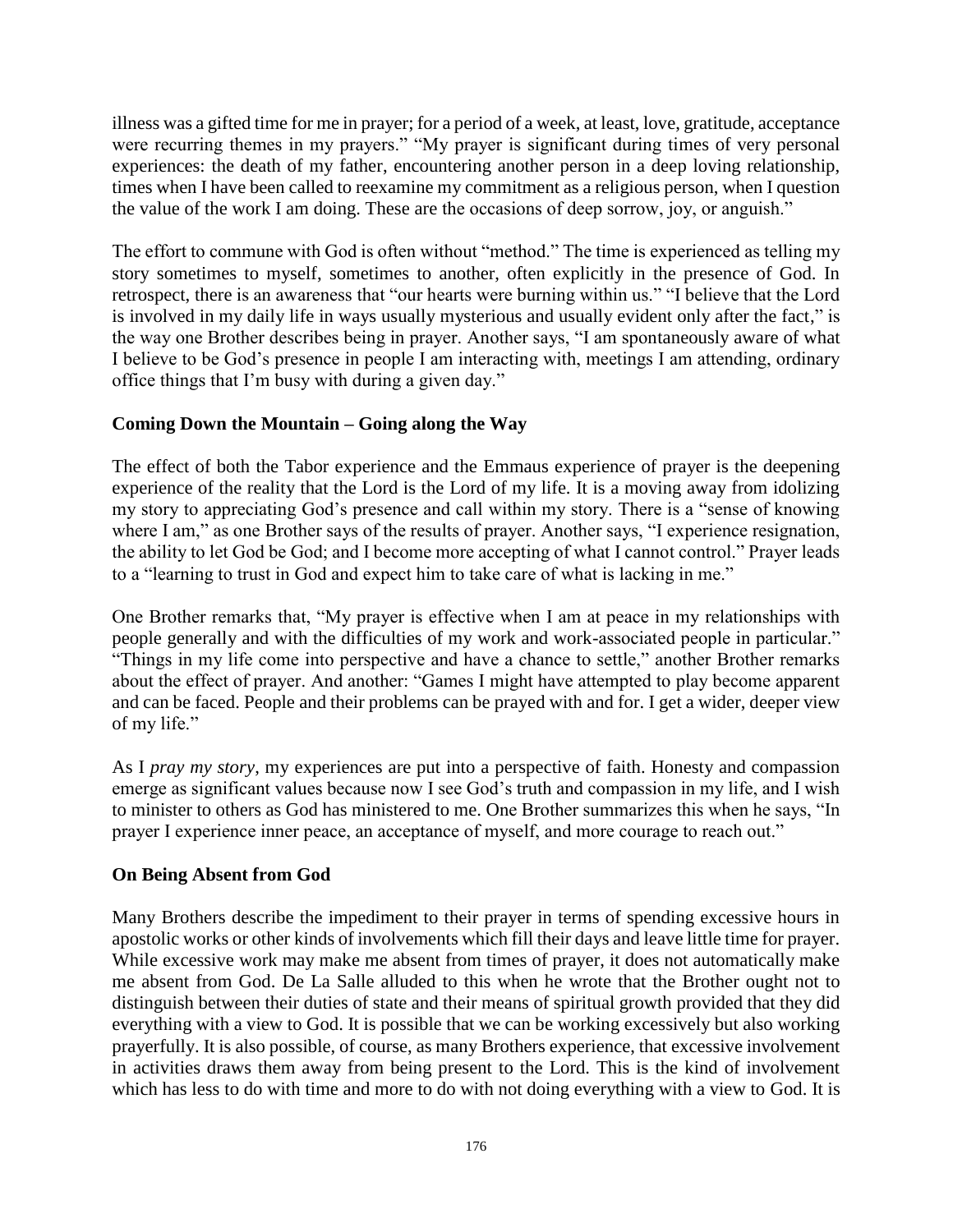illness was a gifted time for me in prayer; for a period of a week, at least, love, gratitude, acceptance were recurring themes in my prayers." "My prayer is significant during times of very personal experiences: the death of my father, encountering another person in a deep loving relationship, times when I have been called to reexamine my commitment as a religious person, when I question the value of the work I am doing. These are the occasions of deep sorrow, joy, or anguish."

The effort to commune with God is often without "method." The time is experienced as telling my story sometimes to myself, sometimes to another, often explicitly in the presence of God. In retrospect, there is an awareness that "our hearts were burning within us." "I believe that the Lord is involved in my daily life in ways usually mysterious and usually evident only after the fact," is the way one Brother describes being in prayer. Another says, "I am spontaneously aware of what I believe to be God's presence in people I am interacting with, meetings I am attending, ordinary office things that I'm busy with during a given day."

# **Coming Down the Mountain – Going along the Way**

The effect of both the Tabor experience and the Emmaus experience of prayer is the deepening experience of the reality that the Lord is the Lord of my life. It is a moving away from idolizing my story to appreciating God's presence and call within my story. There is a "sense of knowing where I am," as one Brother says of the results of prayer. Another says, "I experience resignation, the ability to let God be God; and I become more accepting of what I cannot control." Prayer leads to a "learning to trust in God and expect him to take care of what is lacking in me."

One Brother remarks that, "My prayer is effective when I am at peace in my relationships with people generally and with the difficulties of my work and work-associated people in particular." "Things in my life come into perspective and have a chance to settle," another Brother remarks about the effect of prayer. And another: "Games I might have attempted to play become apparent and can be faced. People and their problems can be prayed with and for. I get a wider, deeper view of my life."

As I *pray my story*, my experiences are put into a perspective of faith. Honesty and compassion emerge as significant values because now I see God's truth and compassion in my life, and I wish to minister to others as God has ministered to me. One Brother summarizes this when he says, "In prayer I experience inner peace, an acceptance of myself, and more courage to reach out."

# **On Being Absent from God**

Many Brothers describe the impediment to their prayer in terms of spending excessive hours in apostolic works or other kinds of involvements which fill their days and leave little time for prayer. While excessive work may make me absent from times of prayer, it does not automatically make me absent from God. De La Salle alluded to this when he wrote that the Brother ought not to distinguish between their duties of state and their means of spiritual growth provided that they did everything with a view to God. It is possible that we can be working excessively but also working prayerfully. It is also possible, of course, as many Brothers experience, that excessive involvement in activities draws them away from being present to the Lord. This is the kind of involvement which has less to do with time and more to do with not doing everything with a view to God. It is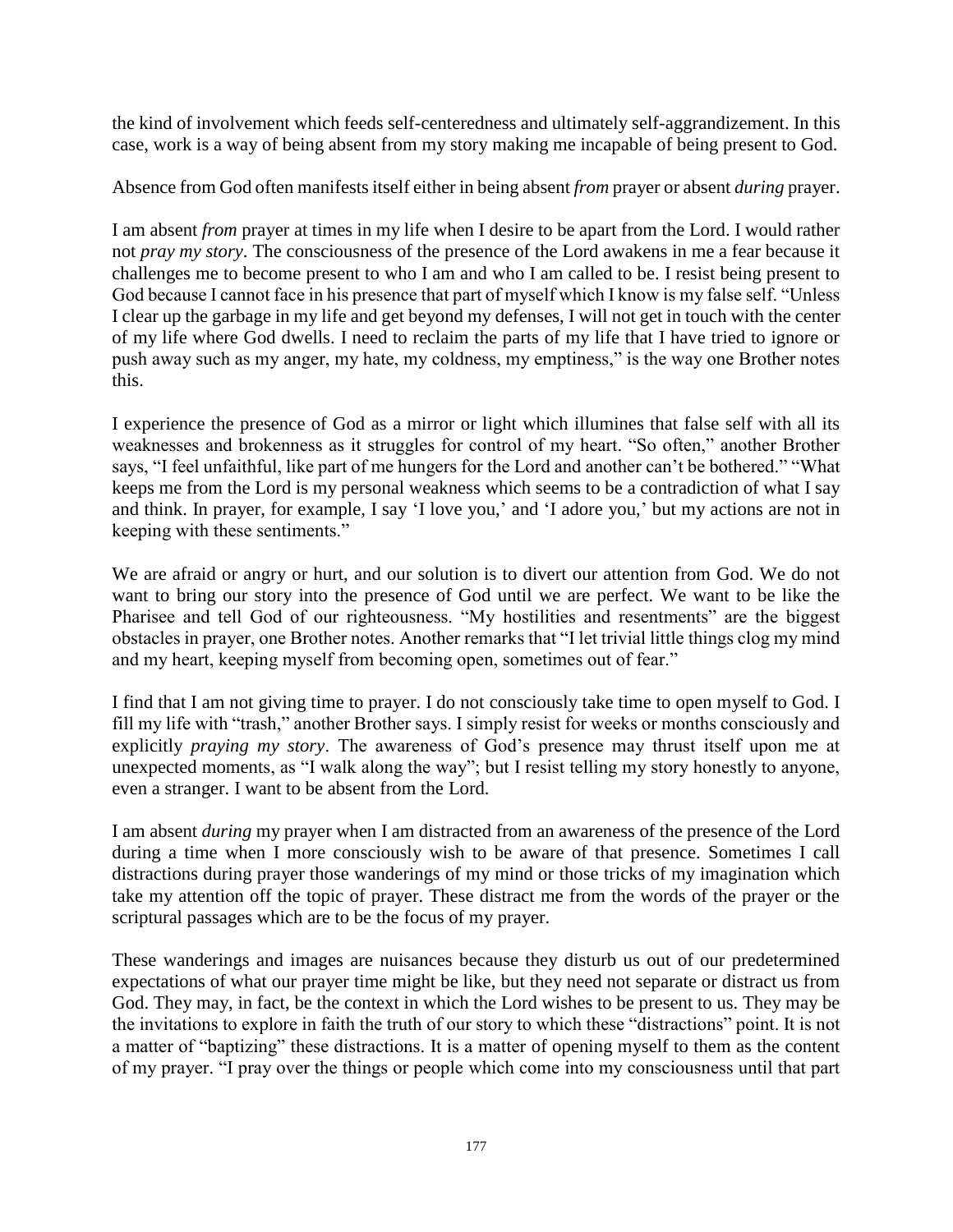the kind of involvement which feeds self-centeredness and ultimately self-aggrandizement. In this case, work is a way of being absent from my story making me incapable of being present to God.

Absence from God often manifests itself either in being absent *from* prayer or absent *during* prayer.

I am absent *from* prayer at times in my life when I desire to be apart from the Lord. I would rather not *pray my story*. The consciousness of the presence of the Lord awakens in me a fear because it challenges me to become present to who I am and who I am called to be. I resist being present to God because I cannot face in his presence that part of myself which I know is my false self. "Unless I clear up the garbage in my life and get beyond my defenses, I will not get in touch with the center of my life where God dwells. I need to reclaim the parts of my life that I have tried to ignore or push away such as my anger, my hate, my coldness, my emptiness," is the way one Brother notes this.

I experience the presence of God as a mirror or light which illumines that false self with all its weaknesses and brokenness as it struggles for control of my heart. "So often," another Brother says, "I feel unfaithful, like part of me hungers for the Lord and another can't be bothered." "What keeps me from the Lord is my personal weakness which seems to be a contradiction of what I say and think. In prayer, for example, I say 'I love you,' and 'I adore you,' but my actions are not in keeping with these sentiments."

We are afraid or angry or hurt, and our solution is to divert our attention from God. We do not want to bring our story into the presence of God until we are perfect. We want to be like the Pharisee and tell God of our righteousness. "My hostilities and resentments" are the biggest obstacles in prayer, one Brother notes. Another remarks that "I let trivial little things clog my mind and my heart, keeping myself from becoming open, sometimes out of fear."

I find that I am not giving time to prayer. I do not consciously take time to open myself to God. I fill my life with "trash," another Brother says. I simply resist for weeks or months consciously and explicitly *praying my story*. The awareness of God's presence may thrust itself upon me at unexpected moments, as "I walk along the way"; but I resist telling my story honestly to anyone, even a stranger. I want to be absent from the Lord.

I am absent *during* my prayer when I am distracted from an awareness of the presence of the Lord during a time when I more consciously wish to be aware of that presence. Sometimes I call distractions during prayer those wanderings of my mind or those tricks of my imagination which take my attention off the topic of prayer. These distract me from the words of the prayer or the scriptural passages which are to be the focus of my prayer.

These wanderings and images are nuisances because they disturb us out of our predetermined expectations of what our prayer time might be like, but they need not separate or distract us from God. They may, in fact, be the context in which the Lord wishes to be present to us. They may be the invitations to explore in faith the truth of our story to which these "distractions" point. It is not a matter of "baptizing" these distractions. It is a matter of opening myself to them as the content of my prayer. "I pray over the things or people which come into my consciousness until that part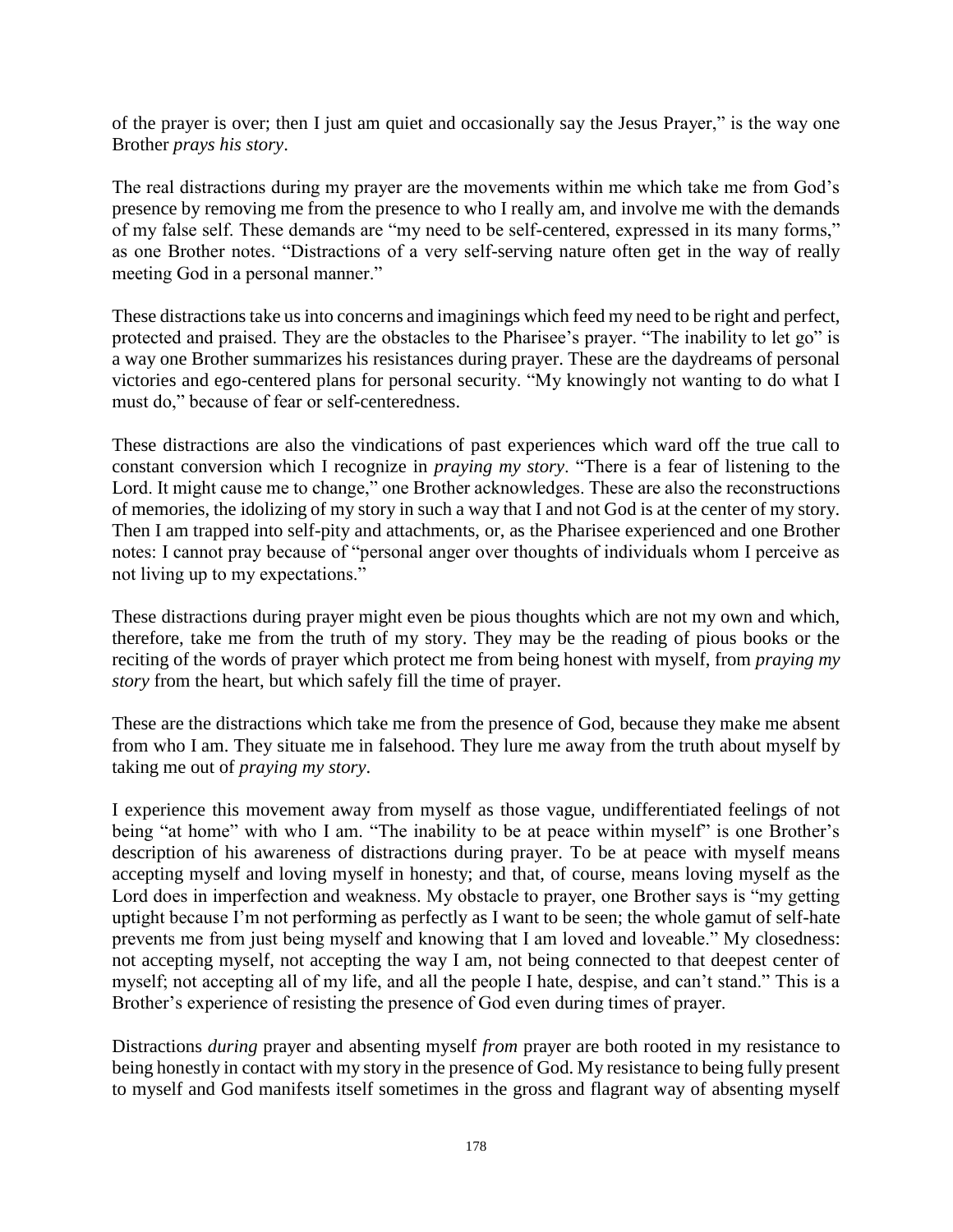of the prayer is over; then I just am quiet and occasionally say the Jesus Prayer," is the way one Brother *prays his story*.

The real distractions during my prayer are the movements within me which take me from God's presence by removing me from the presence to who I really am, and involve me with the demands of my false self. These demands are "my need to be self-centered, expressed in its many forms," as one Brother notes. "Distractions of a very self-serving nature often get in the way of really meeting God in a personal manner."

These distractions take us into concerns and imaginings which feed my need to be right and perfect, protected and praised. They are the obstacles to the Pharisee's prayer. "The inability to let go" is a way one Brother summarizes his resistances during prayer. These are the daydreams of personal victories and ego-centered plans for personal security. "My knowingly not wanting to do what I must do," because of fear or self-centeredness.

These distractions are also the vindications of past experiences which ward off the true call to constant conversion which I recognize in *praying my story*. "There is a fear of listening to the Lord. It might cause me to change," one Brother acknowledges. These are also the reconstructions of memories, the idolizing of my story in such a way that I and not God is at the center of my story. Then I am trapped into self-pity and attachments, or, as the Pharisee experienced and one Brother notes: I cannot pray because of "personal anger over thoughts of individuals whom I perceive as not living up to my expectations."

These distractions during prayer might even be pious thoughts which are not my own and which, therefore, take me from the truth of my story. They may be the reading of pious books or the reciting of the words of prayer which protect me from being honest with myself, from *praying my story* from the heart, but which safely fill the time of prayer.

These are the distractions which take me from the presence of God, because they make me absent from who I am. They situate me in falsehood. They lure me away from the truth about myself by taking me out of *praying my story*.

I experience this movement away from myself as those vague, undifferentiated feelings of not being "at home" with who I am. "The inability to be at peace within myself" is one Brother's description of his awareness of distractions during prayer. To be at peace with myself means accepting myself and loving myself in honesty; and that, of course, means loving myself as the Lord does in imperfection and weakness. My obstacle to prayer, one Brother says is "my getting uptight because I'm not performing as perfectly as I want to be seen; the whole gamut of self-hate prevents me from just being myself and knowing that I am loved and loveable." My closedness: not accepting myself, not accepting the way I am, not being connected to that deepest center of myself; not accepting all of my life, and all the people I hate, despise, and can't stand." This is a Brother's experience of resisting the presence of God even during times of prayer.

Distractions *during* prayer and absenting myself *from* prayer are both rooted in my resistance to being honestly in contact with my story in the presence of God. My resistance to being fully present to myself and God manifests itself sometimes in the gross and flagrant way of absenting myself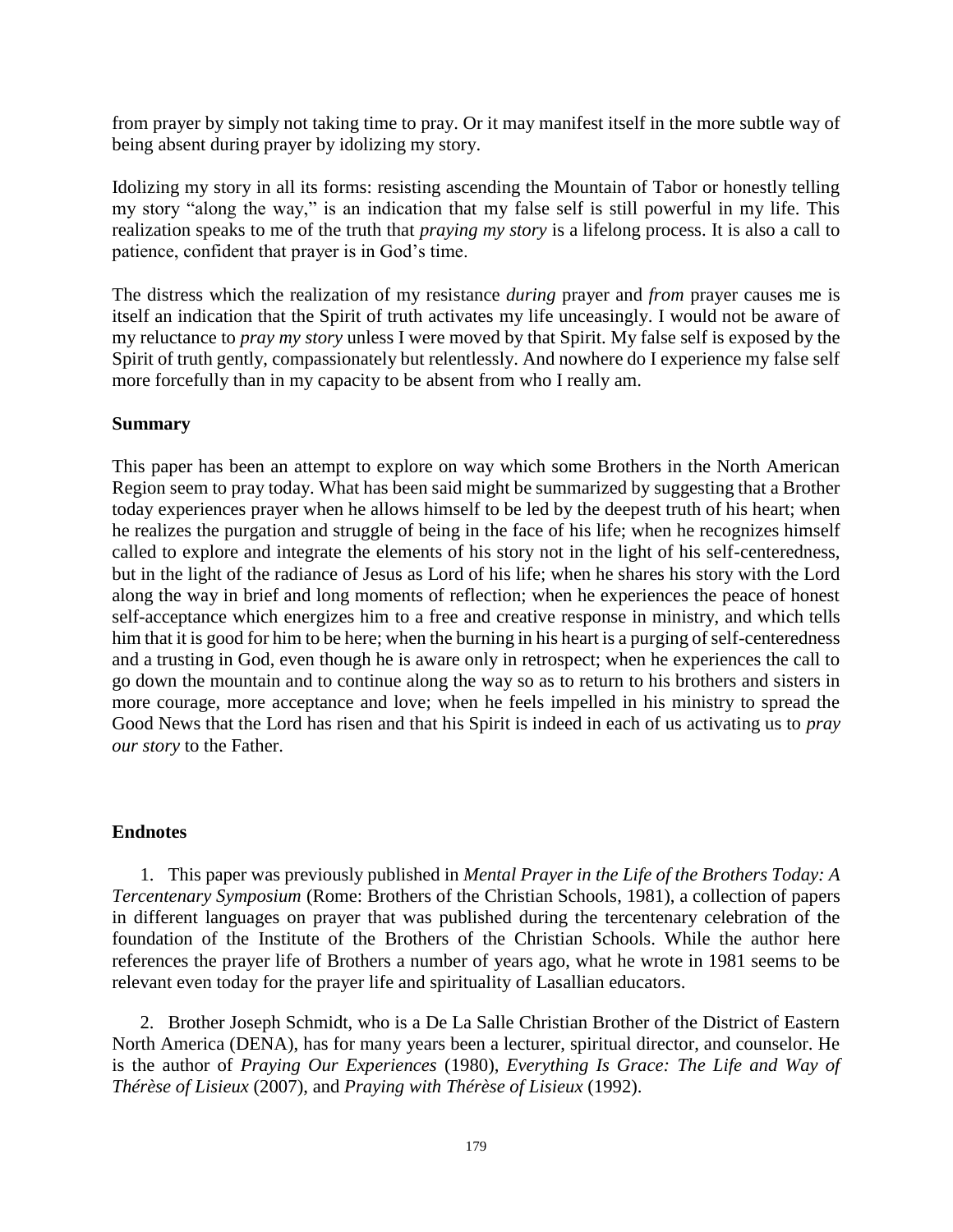from prayer by simply not taking time to pray. Or it may manifest itself in the more subtle way of being absent during prayer by idolizing my story.

Idolizing my story in all its forms: resisting ascending the Mountain of Tabor or honestly telling my story "along the way," is an indication that my false self is still powerful in my life. This realization speaks to me of the truth that *praying my story* is a lifelong process. It is also a call to patience, confident that prayer is in God's time.

The distress which the realization of my resistance *during* prayer and *from* prayer causes me is itself an indication that the Spirit of truth activates my life unceasingly. I would not be aware of my reluctance to *pray my story* unless I were moved by that Spirit. My false self is exposed by the Spirit of truth gently, compassionately but relentlessly. And nowhere do I experience my false self more forcefully than in my capacity to be absent from who I really am.

#### **Summary**

This paper has been an attempt to explore on way which some Brothers in the North American Region seem to pray today. What has been said might be summarized by suggesting that a Brother today experiences prayer when he allows himself to be led by the deepest truth of his heart; when he realizes the purgation and struggle of being in the face of his life; when he recognizes himself called to explore and integrate the elements of his story not in the light of his self-centeredness, but in the light of the radiance of Jesus as Lord of his life; when he shares his story with the Lord along the way in brief and long moments of reflection; when he experiences the peace of honest self-acceptance which energizes him to a free and creative response in ministry, and which tells him that it is good for him to be here; when the burning in his heart is a purging of self-centeredness and a trusting in God, even though he is aware only in retrospect; when he experiences the call to go down the mountain and to continue along the way so as to return to his brothers and sisters in more courage, more acceptance and love; when he feels impelled in his ministry to spread the Good News that the Lord has risen and that his Spirit is indeed in each of us activating us to *pray our story* to the Father.

#### **Endnotes**

1. This paper was previously published in *Mental Prayer in the Life of the Brothers Today: A Tercentenary Symposium* (Rome: Brothers of the Christian Schools, 1981), a collection of papers in different languages on prayer that was published during the tercentenary celebration of the foundation of the Institute of the Brothers of the Christian Schools. While the author here references the prayer life of Brothers a number of years ago, what he wrote in 1981 seems to be relevant even today for the prayer life and spirituality of Lasallian educators.

2. Brother Joseph Schmidt, who is a De La Salle Christian Brother of the District of Eastern North America (DENA), has for many years been a lecturer, spiritual director, and counselor. He is the author of *Praying Our Experiences* (1980), *Everything Is Grace: The Life and Way of Thérèse of Lisieux* (2007), and *Praying with Thérèse of Lisieux* (1992).